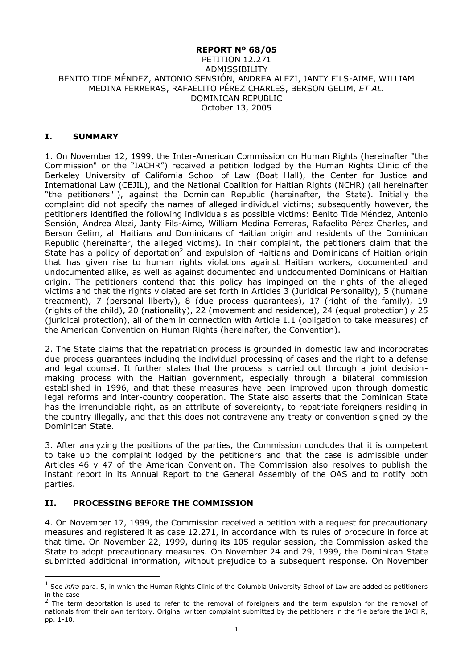#### **REPORT Nº 68/05**

#### PETITION 12.271 ADMISSIBILITY BENITO TIDE MÉNDEZ, ANTONIO SENSIÓN, ANDREA ALEZI, JANTY FILS-AIME, WILLIAM MEDINA FERRERAS, RAFAELITO PÉREZ CHARLES, BERSON GELIM, *ET AL.* DOMINICAN REPUBLIC October 13, 2005

### **I. SUMMARY**

1. On November 12, 1999, the Inter-American Commission on Human Rights (hereinafter "the Commission" or the "IACHR") received a petition lodged by the Human Rights Clinic of the Berkeley University of California School of Law (Boat Hall), the Center for Justice and International Law (CEJIL), and the National Coalition for Haitian Rights (NCHR) (all hereinafter "the petitioners"<sup>1</sup>), against the Dominican Republic (hereinafter, the State). Initially the complaint did not specify the names of alleged individual victims; subsequently however, the petitioners identified the following individuals as possible victims: Benito Tide Méndez, Antonio Sensión, Andrea Alezi, Janty Fils-Aime, William Medina Ferreras, Rafaelito Pérez Charles, and Berson Gelim, all Haitians and Dominicans of Haitian origin and residents of the Dominican Republic (hereinafter, the alleged victims). In their complaint, the petitioners claim that the State has a policy of deportation<sup>2</sup> and expulsion of Haitians and Dominicans of Haitian origin that has given rise to human rights violations against Haitian workers, documented and undocumented alike, as well as against documented and undocumented Dominicans of Haitian origin. The petitioners contend that this policy has impinged on the rights of the alleged victims and that the rights violated are set forth in Articles 3 (Juridical Personality), 5 (humane treatment), 7 (personal liberty), 8 (due process guarantees), 17 (right of the family), 19 (rights of the child), 20 (nationality), 22 (movement and residence), 24 (equal protection) y 25 (juridical protection), all of them in connection with Article 1.1 (obligation to take measures) of the American Convention on Human Rights (hereinafter, the Convention).

2. The State claims that the repatriation process is grounded in domestic law and incorporates due process guarantees including the individual processing of cases and the right to a defense and legal counsel. It further states that the process is carried out through a joint decisionmaking process with the Haitian government, especially through a bilateral commission established in 1996, and that these measures have been improved upon through domestic legal reforms and inter-country cooperation. The State also asserts that the Dominican State has the irrenunciable right, as an attribute of sovereignty, to repatriate foreigners residing in the country illegally, and that this does not contravene any treaty or convention signed by the Dominican State.

3. After analyzing the positions of the parties, the Commission concludes that it is competent to take up the complaint lodged by the petitioners and that the case is admissible under Articles 46 y 47 of the American Convention. The Commission also resolves to publish the instant report in its Annual Report to the General Assembly of the OAS and to notify both parties.

#### **II. PROCESSING BEFORE THE COMMISSION**

-

4. On November 17, 1999, the Commission received a petition with a request for precautionary measures and registered it as case 12.271, in accordance with its rules of procedure in force at that time. On November 22, 1999, during its 105 regular session, the Commission asked the State to adopt precautionary measures. On November 24 and 29, 1999, the Dominican State submitted additional information, without prejudice to a subsequent response. On November

<sup>&</sup>lt;sup>1</sup> See *infra* para. 5, in which the Human Rights Clinic of the Columbia University School of Law are added as petitioners in the case

<sup>&</sup>lt;sup>2</sup> The term deportation is used to refer to the removal of foreigners and the term expulsion for the removal of nationals from their own territory. Original written complaint submitted by the petitioners in the file before the IACHR, pp. 1-10.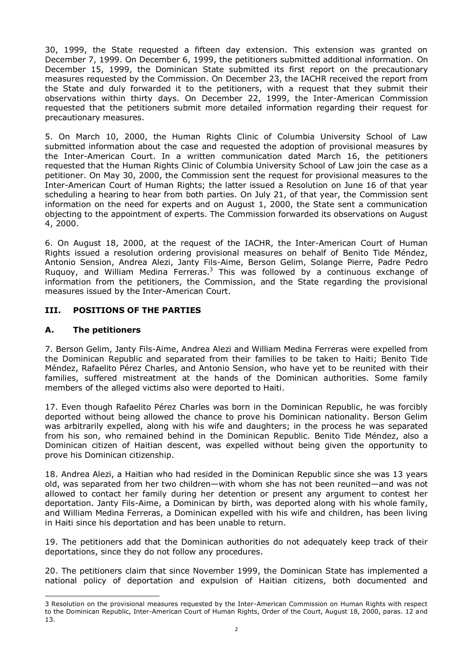30, 1999, the State requested a fifteen day extension. This extension was granted on December 7, 1999. On December 6, 1999, the petitioners submitted additional information. On December 15, 1999, the Dominican State submitted its first report on the precautionary measures requested by the Commission. On December 23, the IACHR received the report from the State and duly forwarded it to the petitioners, with a request that they submit their observations within thirty days. On December 22, 1999, the Inter-American Commission requested that the petitioners submit more detailed information regarding their request for precautionary measures.

5. On March 10, 2000, the Human Rights Clinic of Columbia University School of Law submitted information about the case and requested the adoption of provisional measures by the Inter-American Court. In a written communication dated March 16, the petitioners requested that the Human Rights Clinic of Columbia University School of Law join the case as a petitioner. On May 30, 2000, the Commission sent the request for provisional measures to the Inter-American Court of Human Rights; the latter issued a Resolution on June 16 of that year scheduling a hearing to hear from both parties. On July 21, of that year, the Commission sent information on the need for experts and on August 1, 2000, the State sent a communication objecting to the appointment of experts. The Commission forwarded its observations on August 4, 2000.

6. On August 18, 2000, at the request of the IACHR, the Inter-American Court of Human Rights issued a resolution ordering provisional measures on behalf of Benito Tide Méndez, Antonio Sension, Andrea Alezi, Janty Fils-Aime, Berson Gelim, Solange Pierre, Padre Pedro Ruquoy, and William Medina Ferreras.<sup>3</sup> This was followed by a continuous exchange of information from the petitioners, the Commission, and the State regarding the provisional measures issued by the Inter-American Court.

## **III. POSITIONS OF THE PARTIES**

### **A. The petitioners**

7. Berson Gelim, Janty Fils-Aime, Andrea Alezi and William Medina Ferreras were expelled from the Dominican Republic and separated from their families to be taken to Haiti; Benito Tide Méndez, Rafaelito Pérez Charles, and Antonio Sension, who have yet to be reunited with their families, suffered mistreatment at the hands of the Dominican authorities. Some family members of the alleged victims also were deported to Haiti.

17. Even though Rafaelito Pérez Charles was born in the Dominican Republic, he was forcibly deported without being allowed the chance to prove his Dominican nationality. Berson Gelim was arbitrarily expelled, along with his wife and daughters; in the process he was separated from his son, who remained behind in the Dominican Republic. Benito Tide Méndez, also a Dominican citizen of Haitian descent, was expelled without being given the opportunity to prove his Dominican citizenship.

18. Andrea Alezi, a Haitian who had resided in the Dominican Republic since she was 13 years old, was separated from her two children—with whom she has not been reunited—and was not allowed to contact her family during her detention or present any argument to contest her deportation. Janty Fils-Aime, a Dominican by birth, was deported along with his whole family, and William Medina Ferreras, a Dominican expelled with his wife and children, has been living in Haiti since his deportation and has been unable to return.

19. The petitioners add that the Dominican authorities do not adequately keep track of their deportations, since they do not follow any procedures.

20. The petitioners claim that since November 1999, the Dominican State has implemented a national policy of deportation and expulsion of Haitian citizens, both documented and

<sup>-</sup>3 Resolution on the provisional measures requested by the Inter-American Commission on Human Rights with respect to the Dominican Republic, Inter-American Court of Human Rights, Order of the Court, August 18, 2000, paras. 12 and 13.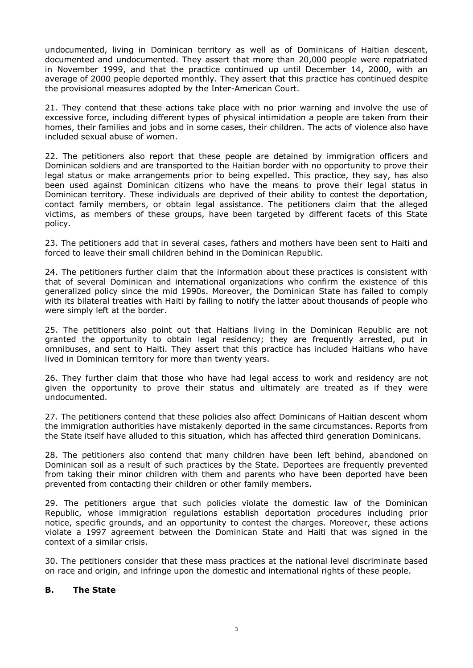undocumented, living in Dominican territory as well as of Dominicans of Haitian descent, documented and undocumented. They assert that more than 20,000 people were repatriated in November 1999, and that the practice continued up until December 14, 2000, with an average of 2000 people deported monthly. They assert that this practice has continued despite the provisional measures adopted by the Inter-American Court.

21. They contend that these actions take place with no prior warning and involve the use of excessive force, including different types of physical intimidation a people are taken from their homes, their families and jobs and in some cases, their children. The acts of violence also have included sexual abuse of women.

22. The petitioners also report that these people are detained by immigration officers and Dominican soldiers and are transported to the Haitian border with no opportunity to prove their legal status or make arrangements prior to being expelled. This practice, they say, has also been used against Dominican citizens who have the means to prove their legal status in Dominican territory. These individuals are deprived of their ability to contest the deportation, contact family members, or obtain legal assistance. The petitioners claim that the alleged victims, as members of these groups, have been targeted by different facets of this State policy.

23. The petitioners add that in several cases, fathers and mothers have been sent to Haiti and forced to leave their small children behind in the Dominican Republic.

24. The petitioners further claim that the information about these practices is consistent with that of several Dominican and international organizations who confirm the existence of this generalized policy since the mid 1990s. Moreover, the Dominican State has failed to comply with its bilateral treaties with Haiti by failing to notify the latter about thousands of people who were simply left at the border.

25. The petitioners also point out that Haitians living in the Dominican Republic are not granted the opportunity to obtain legal residency; they are frequently arrested, put in omnibuses, and sent to Haiti. They assert that this practice has included Haitians who have lived in Dominican territory for more than twenty years.

26. They further claim that those who have had legal access to work and residency are not given the opportunity to prove their status and ultimately are treated as if they were undocumented.

27. The petitioners contend that these policies also affect Dominicans of Haitian descent whom the immigration authorities have mistakenly deported in the same circumstances. Reports from the State itself have alluded to this situation, which has affected third generation Dominicans.

28. The petitioners also contend that many children have been left behind, abandoned on Dominican soil as a result of such practices by the State. Deportees are frequently prevented from taking their minor children with them and parents who have been deported have been prevented from contacting their children or other family members.

29. The petitioners argue that such policies violate the domestic law of the Dominican Republic, whose immigration regulations establish deportation procedures including prior notice, specific grounds, and an opportunity to contest the charges. Moreover, these actions violate a 1997 agreement between the Dominican State and Haiti that was signed in the context of a similar crisis.

30. The petitioners consider that these mass practices at the national level discriminate based on race and origin, and infringe upon the domestic and international rights of these people.

## **B. The State**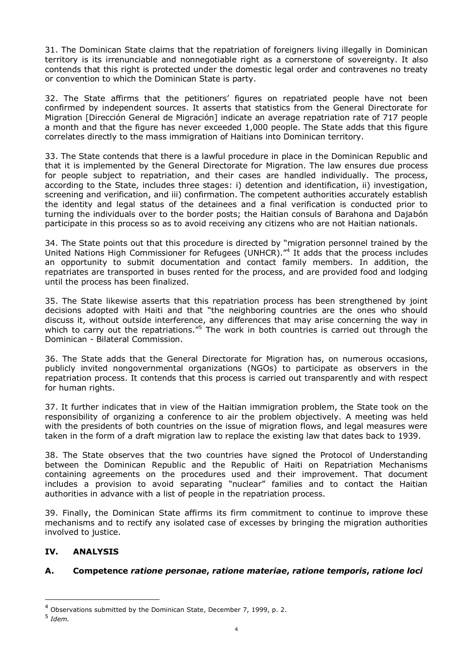31. The Dominican State claims that the repatriation of foreigners living illegally in Dominican territory is its irrenunciable and nonnegotiable right as a cornerstone of sovereignty. It also contends that this right is protected under the domestic legal order and contravenes no treaty or convention to which the Dominican State is party.

32. The State affirms that the petitioners' figures on repatriated people have not been confirmed by independent sources. It asserts that statistics from the General Directorate for Migration [Dirección General de Migración] indicate an average repatriation rate of 717 people a month and that the figure has never exceeded 1,000 people. The State adds that this figure correlates directly to the mass immigration of Haitians into Dominican territory.

33. The State contends that there is a lawful procedure in place in the Dominican Republic and that it is implemented by the General Directorate for Migration. The law ensures due process for people subject to repatriation, and their cases are handled individually. The process, according to the State, includes three stages: i) detention and identification, ii) investigation, screening and verification, and iii) confirmation. The competent authorities accurately establish the identity and legal status of the detainees and a final verification is conducted prior to turning the individuals over to the border posts; the Haitian consuls of Barahona and Dajabón participate in this process so as to avoid receiving any citizens who are not Haitian nationals.

34. The State points out that this procedure is directed by "migration personnel trained by the United Nations High Commissioner for Refugees (UNHCR)."<sup>4</sup> It adds that the process includes an opportunity to submit documentation and contact family members. In addition, the repatriates are transported in buses rented for the process, and are provided food and lodging until the process has been finalized.

35. The State likewise asserts that this repatriation process has been strengthened by joint decisions adopted with Haiti and that "the neighboring countries are the ones who should discuss it, without outside interference, any differences that may arise concerning the way in which to carry out the repatriations.<sup>"5</sup> The work in both countries is carried out through the Dominican - Bilateral Commission.

36. The State adds that the General Directorate for Migration has, on numerous occasions, publicly invited nongovernmental organizations (NGOs) to participate as observers in the repatriation process. It contends that this process is carried out transparently and with respect for human rights.

37. It further indicates that in view of the Haitian immigration problem, the State took on the responsibility of organizing a conference to air the problem objectively. A meeting was held with the presidents of both countries on the issue of migration flows, and legal measures were taken in the form of a draft migration law to replace the existing law that dates back to 1939.

38. The State observes that the two countries have signed the Protocol of Understanding between the Dominican Republic and the Republic of Haiti on Repatriation Mechanisms containing agreements on the procedures used and their improvement. That document includes a provision to avoid separating "nuclear" families and to contact the Haitian authorities in advance with a list of people in the repatriation process.

39. Finally, the Dominican State affirms its firm commitment to continue to improve these mechanisms and to rectify any isolated case of excesses by bringing the migration authorities involved to justice.

# **IV. ANALYSIS**

# **A. Competence** *ratione personae***,** *ratione materiae***,** *ratione temporis***,** *ratione loci*

-

<sup>4</sup> Observations submitted by the Dominican State, December 7, 1999, p. 2.

<sup>5</sup> *Idem.*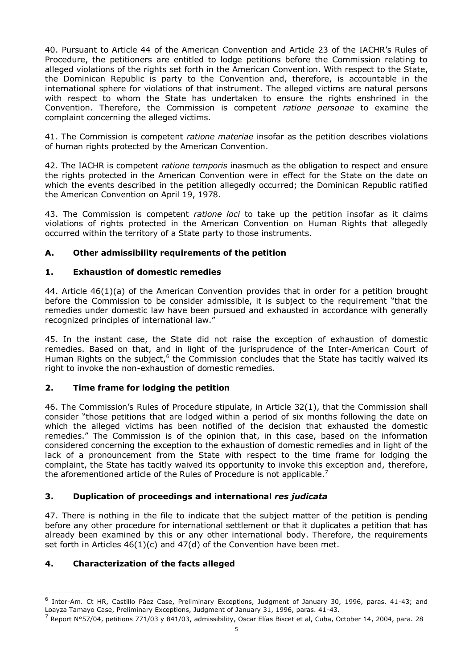40. Pursuant to Article 44 of the American Convention and Article 23 of the IACHR's Rules of Procedure, the petitioners are entitled to lodge petitions before the Commission relating to alleged violations of the rights set forth in the American Convention. With respect to the State, the Dominican Republic is party to the Convention and, therefore, is accountable in the international sphere for violations of that instrument. The alleged victims are natural persons with respect to whom the State has undertaken to ensure the rights enshrined in the Convention. Therefore, the Commission is competent *ratione personae* to examine the complaint concerning the alleged victims.

41. The Commission is competent *ratione materiae* insofar as the petition describes violations of human rights protected by the American Convention.

42. The IACHR is competent *ratione temporis* inasmuch as the obligation to respect and ensure the rights protected in the American Convention were in effect for the State on the date on which the events described in the petition allegedly occurred; the Dominican Republic ratified the American Convention on April 19, 1978.

43. The Commission is competent *ratione loci* to take up the petition insofar as it claims violations of rights protected in the American Convention on Human Rights that allegedly occurred within the territory of a State party to those instruments.

## **A. Other admissibility requirements of the petition**

## **1. Exhaustion of domestic remedies**

44. Article 46(1)(a) of the American Convention provides that in order for a petition brought before the Commission to be consider admissible, it is subject to the requirement "that the remedies under domestic law have been pursued and exhausted in accordance with generally recognized principles of international law."

45. In the instant case, the State did not raise the exception of exhaustion of domestic remedies. Based on that, and in light of the jurisprudence of the Inter-American Court of Human Rights on the subject, $6$  the Commission concludes that the State has tacitly waived its right to invoke the non-exhaustion of domestic remedies.

## **2. Time frame for lodging the petition**

46. The Commission's Rules of Procedure stipulate, in Article 32(1), that the Commission shall consider "those petitions that are lodged within a period of six months following the date on which the alleged victims has been notified of the decision that exhausted the domestic remedies." The Commission is of the opinion that, in this case, based on the information considered concerning the exception to the exhaustion of domestic remedies and in light of the lack of a pronouncement from the State with respect to the time frame for lodging the complaint, the State has tacitly waived its opportunity to invoke this exception and, therefore, the aforementioned article of the Rules of Procedure is not applicable.<sup>7</sup>

## **3. Duplication of proceedings and international** *res judicata*

47. There is nothing in the file to indicate that the subject matter of the petition is pending before any other procedure for international settlement or that it duplicates a petition that has already been examined by this or any other international body. Therefore, the requirements set forth in Articles 46(1)(c) and 47(d) of the Convention have been met.

## **4. Characterization of the facts alleged**

-

<sup>&</sup>lt;sup>6</sup> Inter-Am. Ct HR, Castillo Páez Case, Preliminary Exceptions, Judgment of January 30, 1996, paras. 41-43; and Loayza Tamayo Case, Preliminary Exceptions, Judgment of January 31, 1996, paras. 41-43.

 $^7$  Report N°57/04, petitions 771/03 y 841/03, admissibility, Oscar Elías Biscet et al, Cuba, October 14, 2004, para. 28